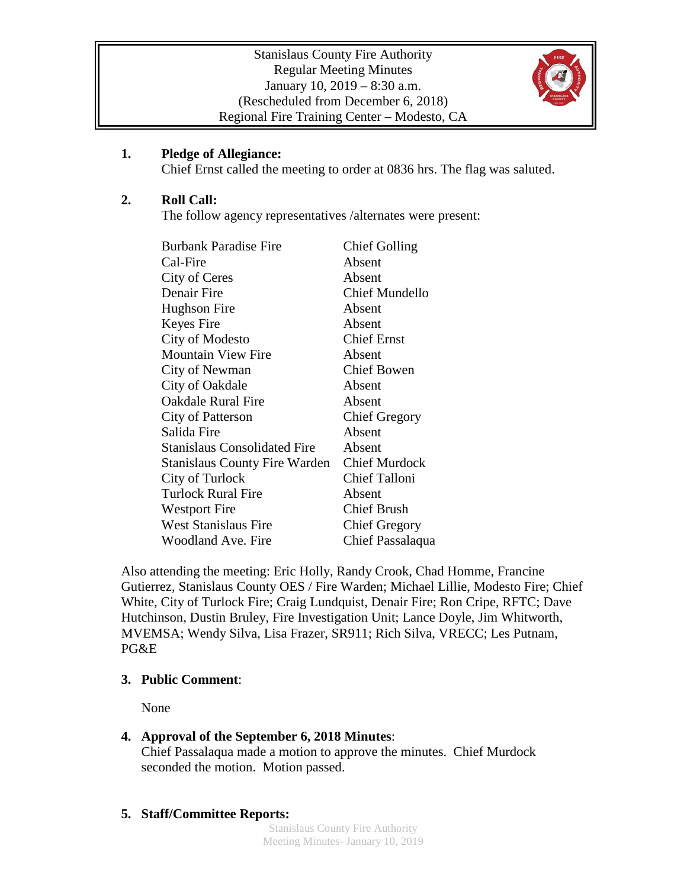

## **1. Pledge of Allegiance:**

Chief Ernst called the meeting to order at 0836 hrs. The flag was saluted.

# **2. Roll Call:**

The follow agency representatives /alternates were present:

| <b>Burbank Paradise Fire</b>        | <b>Chief Golling</b>  |
|-------------------------------------|-----------------------|
| Cal-Fire                            | Absent                |
| City of Ceres                       | Absent                |
| Denair Fire                         | <b>Chief Mundello</b> |
| Hughson Fire                        | Absent                |
| Keyes Fire                          | Absent                |
| City of Modesto                     | <b>Chief Ernst</b>    |
| <b>Mountain View Fire</b>           | Absent                |
| City of Newman                      | <b>Chief Bowen</b>    |
| City of Oakdale                     | Absent                |
| <b>Oakdale Rural Fire</b>           | Absent                |
| City of Patterson                   | <b>Chief Gregory</b>  |
| Salida Fire                         | Absent                |
| <b>Stanislaus Consolidated Fire</b> | Absent                |
| Stanislaus County Fire Warden       | <b>Chief Murdock</b>  |
| City of Turlock                     | <b>Chief Talloni</b>  |
| <b>Turlock Rural Fire</b>           | Absent                |
| <b>Westport Fire</b>                | <b>Chief Brush</b>    |
| <b>West Stanislaus Fire</b>         | <b>Chief Gregory</b>  |
| <b>Woodland Ave. Fire</b>           | Chief Passalaqua      |

Also attending the meeting: Eric Holly, Randy Crook, Chad Homme, Francine Gutierrez, Stanislaus County OES / Fire Warden; Michael Lillie, Modesto Fire; Chief White, City of Turlock Fire; Craig Lundquist, Denair Fire; Ron Cripe, RFTC; Dave Hutchinson, Dustin Bruley, Fire Investigation Unit; Lance Doyle, Jim Whitworth, MVEMSA; Wendy Silva, Lisa Frazer, SR911; Rich Silva, VRECC; Les Putnam, PG&E

# **3. Public Comment**:

None

# **4. Approval of the September 6, 2018 Minutes**:

Chief Passalaqua made a motion to approve the minutes. Chief Murdock seconded the motion. Motion passed.

# **5. Staff/Committee Reports:**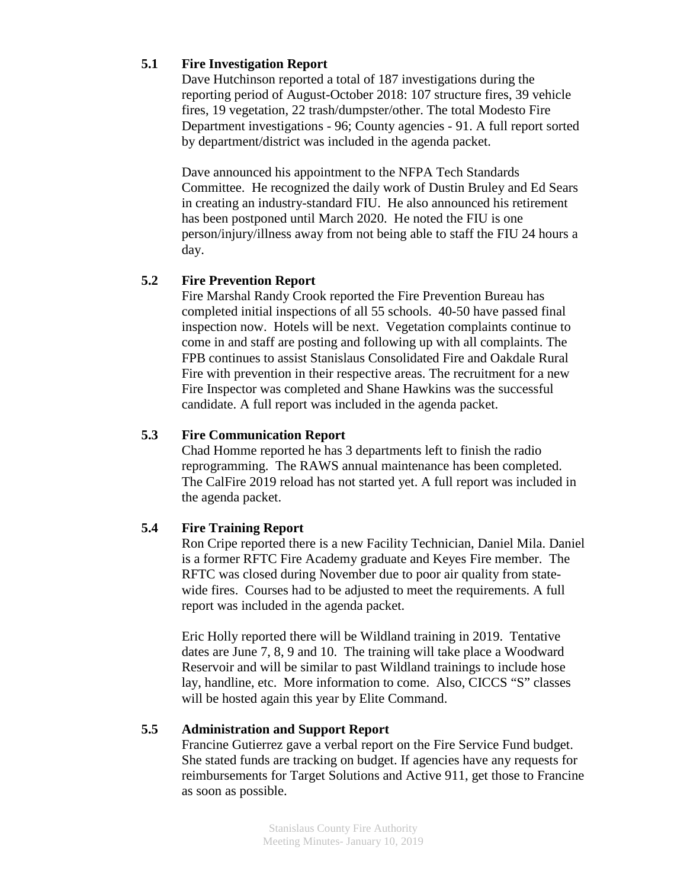## **5.1 Fire Investigation Report**

Dave Hutchinson reported a total of 187 investigations during the reporting period of August-October 2018: 107 structure fires, 39 vehicle fires, 19 vegetation, 22 trash/dumpster/other. The total Modesto Fire Department investigations - 96; County agencies - 91. A full report sorted by department/district was included in the agenda packet.

Dave announced his appointment to the NFPA Tech Standards Committee. He recognized the daily work of Dustin Bruley and Ed Sears in creating an industry-standard FIU. He also announced his retirement has been postponed until March 2020. He noted the FIU is one person/injury/illness away from not being able to staff the FIU 24 hours a day.

## **5.2 Fire Prevention Report**

Fire Marshal Randy Crook reported the Fire Prevention Bureau has completed initial inspections of all 55 schools. 40-50 have passed final inspection now. Hotels will be next. Vegetation complaints continue to come in and staff are posting and following up with all complaints. The FPB continues to assist Stanislaus Consolidated Fire and Oakdale Rural Fire with prevention in their respective areas. The recruitment for a new Fire Inspector was completed and Shane Hawkins was the successful candidate. A full report was included in the agenda packet.

#### **5.3 Fire Communication Report**

Chad Homme reported he has 3 departments left to finish the radio reprogramming. The RAWS annual maintenance has been completed. The CalFire 2019 reload has not started yet. A full report was included in the agenda packet.

#### **5.4 Fire Training Report**

Ron Cripe reported there is a new Facility Technician, Daniel Mila. Daniel is a former RFTC Fire Academy graduate and Keyes Fire member. The RFTC was closed during November due to poor air quality from statewide fires. Courses had to be adjusted to meet the requirements. A full report was included in the agenda packet.

Eric Holly reported there will be Wildland training in 2019. Tentative dates are June 7, 8, 9 and 10. The training will take place a Woodward Reservoir and will be similar to past Wildland trainings to include hose lay, handline, etc. More information to come. Also, CICCS "S" classes will be hosted again this year by Elite Command.

#### **5.5 Administration and Support Report**

Francine Gutierrez gave a verbal report on the Fire Service Fund budget. She stated funds are tracking on budget. If agencies have any requests for reimbursements for Target Solutions and Active 911, get those to Francine as soon as possible.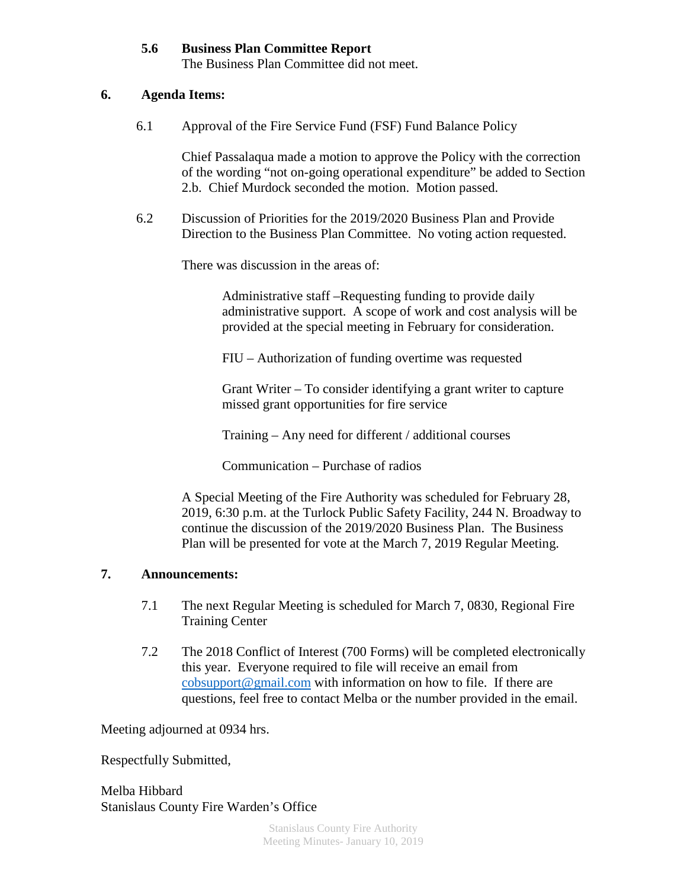## **5.6 Business Plan Committee Report**

The Business Plan Committee did not meet.

## **6. Agenda Items:**

6.1 Approval of the Fire Service Fund (FSF) Fund Balance Policy

Chief Passalaqua made a motion to approve the Policy with the correction of the wording "not on-going operational expenditure" be added to Section 2.b. Chief Murdock seconded the motion. Motion passed.

6.2 Discussion of Priorities for the 2019/2020 Business Plan and Provide Direction to the Business Plan Committee. No voting action requested.

There was discussion in the areas of:

Administrative staff –Requesting funding to provide daily administrative support. A scope of work and cost analysis will be provided at the special meeting in February for consideration.

FIU – Authorization of funding overtime was requested

Grant Writer – To consider identifying a grant writer to capture missed grant opportunities for fire service

Training – Any need for different / additional courses

Communication – Purchase of radios

A Special Meeting of the Fire Authority was scheduled for February 28, 2019, 6:30 p.m. at the Turlock Public Safety Facility, 244 N. Broadway to continue the discussion of the 2019/2020 Business Plan. The Business Plan will be presented for vote at the March 7, 2019 Regular Meeting.

## **7. Announcements:**

- 7.1 The next Regular Meeting is scheduled for March 7, 0830, Regional Fire Training Center
- 7.2 The 2018 Conflict of Interest (700 Forms) will be completed electronically this year. Everyone required to file will receive an email from [cobsupport@gmail.com](mailto:cobsupport@gmail.com) with information on how to file. If there are questions, feel free to contact Melba or the number provided in the email.

Meeting adjourned at 0934 hrs.

Respectfully Submitted,

Melba Hibbard Stanislaus County Fire Warden's Office

> Stanislaus County Fire Authority Meeting Minutes- January 10, 2019